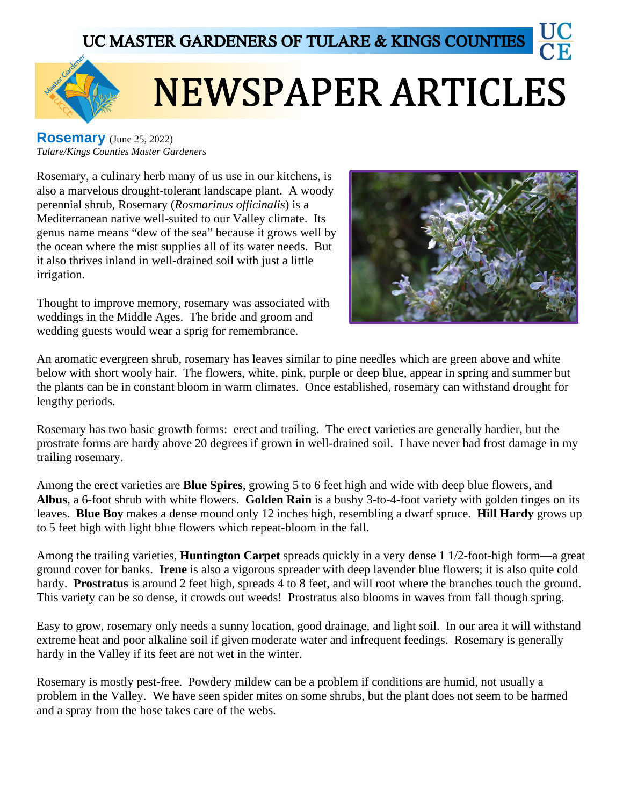



## **NEWSPAPER ARTICLES**

**Rosemary** (June 25, 2022) *Tulare/Kings Counties Master Gardeners*

Rosemary, a culinary herb many of us use in our kitchens, is also a marvelous drought-tolerant landscape plant. A woody perennial shrub, Rosemary (*Rosmarinus officinalis*) is a Mediterranean native well-suited to our Valley climate. Its genus name means "dew of the sea" because it grows well by the ocean where the mist supplies all of its water needs. But it also thrives inland in well-drained soil with just a little irrigation.

Thought to improve memory, rosemary was associated with weddings in the Middle Ages. The bride and groom and wedding guests would wear a sprig for remembrance.



An aromatic evergreen shrub, rosemary has leaves similar to pine needles which are green above and white below with short wooly hair. The flowers, white, pink, purple or deep blue, appear in spring and summer but the plants can be in constant bloom in warm climates. Once established, rosemary can withstand drought for lengthy periods.

Rosemary has two basic growth forms: erect and trailing. The erect varieties are generally hardier, but the prostrate forms are hardy above 20 degrees if grown in well-drained soil. I have never had frost damage in my trailing rosemary.

Among the erect varieties are **Blue Spires**, growing 5 to 6 feet high and wide with deep blue flowers, and **Albus**, a 6-foot shrub with white flowers. **Golden Rain** is a bushy 3-to-4-foot variety with golden tinges on its leaves. **Blue Boy** makes a dense mound only 12 inches high, resembling a dwarf spruce. **Hill Hardy** grows up to 5 feet high with light blue flowers which repeat-bloom in the fall.

Among the trailing varieties, **Huntington Carpet** spreads quickly in a very dense 1 1/2-foot-high form—a great ground cover for banks. **Irene** is also a vigorous spreader with deep lavender blue flowers; it is also quite cold hardy. **Prostratus** is around 2 feet high, spreads 4 to 8 feet, and will root where the branches touch the ground. This variety can be so dense, it crowds out weeds! Prostratus also blooms in waves from fall though spring.

Easy to grow, rosemary only needs a sunny location, good drainage, and light soil. In our area it will withstand extreme heat and poor alkaline soil if given moderate water and infrequent feedings. Rosemary is generally hardy in the Valley if its feet are not wet in the winter.

Rosemary is mostly pest-free. Powdery mildew can be a problem if conditions are humid, not usually a problem in the Valley. We have seen spider mites on some shrubs, but the plant does not seem to be harmed and a spray from the hose takes care of the webs.